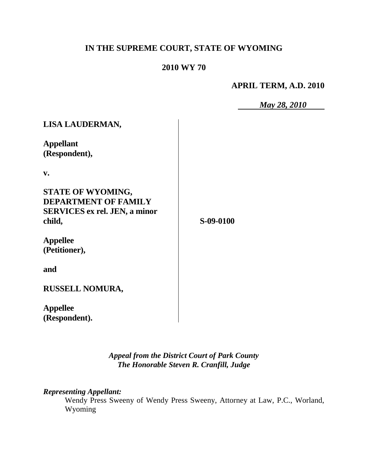# **IN THE SUPREME COURT, STATE OF WYOMING**

## **2010 WY 70**

**APRIL TERM, A.D. 2010**

*May 28, 2010*

| LISA LAUDERMAN,                      |           |
|--------------------------------------|-----------|
| <b>Appellant</b><br>(Respondent),    |           |
| v.                                   |           |
|                                      |           |
| <b>STATE OF WYOMING,</b>             |           |
| <b>DEPARTMENT OF FAMILY</b>          |           |
| <b>SERVICES ex rel. JEN, a minor</b> |           |
| child,                               | S-09-0100 |
| <b>Appellee</b>                      |           |
| (Petitioner),                        |           |
| and                                  |           |
| <b>RUSSELL NOMURA,</b>               |           |
| <b>Appellee</b>                      |           |
| (Respondent).                        |           |

*Appeal from the District Court of Park County The Honorable Steven R. Cranfill, Judge* 

*Representing Appellant:*

Wendy Press Sweeny of Wendy Press Sweeny, Attorney at Law, P.C., Worland, Wyoming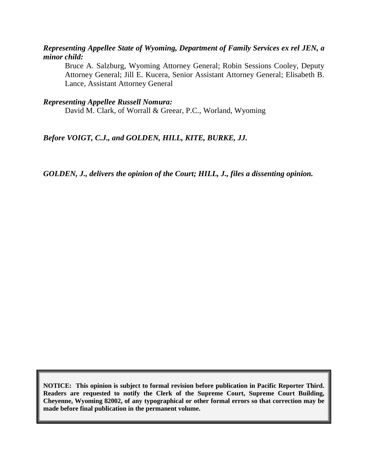#### *Representing Appellee State of Wyoming, Department of Family Services ex rel JEN, a minor child:*

Bruce A. Salzburg, Wyoming Attorney General; Robin Sessions Cooley, Deputy Attorney General; Jill E. Kucera, Senior Assistant Attorney General; Elisabeth B. Lance, Assistant Attorney General

#### *Representing Appellee Russell Nomura:*

David M. Clark, of Worrall & Greear, P.C., Worland, Wyoming

#### *Before VOIGT, C.J., and GOLDEN, HILL, KITE, BURKE, JJ.*

*GOLDEN, J., delivers the opinion of the Court; HILL, J., files a dissenting opinion.*

**NOTICE: This opinion is subject to formal revision before publication in Pacific Reporter Third. Readers are requested to notify the Clerk of the Supreme Court, Supreme Court Building, Cheyenne, Wyoming 82002, of any typographical or other formal errors so that correction may be made before final publication in the permanent volume.**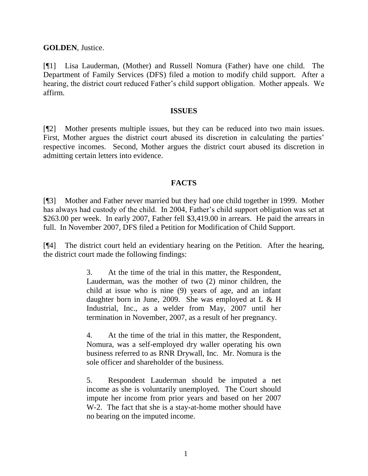**GOLDEN**, Justice.

[¶1] Lisa Lauderman, (Mother) and Russell Nomura (Father) have one child. The Department of Family Services (DFS) filed a motion to modify child support. After a hearing, the district court reduced Father"s child support obligation. Mother appeals. We affirm.

#### **ISSUES**

[¶2] Mother presents multiple issues, but they can be reduced into two main issues. First, Mother argues the district court abused its discretion in calculating the parties' respective incomes. Second, Mother argues the district court abused its discretion in admitting certain letters into evidence.

#### **FACTS**

[¶3] Mother and Father never married but they had one child together in 1999. Mother has always had custody of the child. In 2004, Father's child support obligation was set at \$263.00 per week. In early 2007, Father fell \$3,419.00 in arrears. He paid the arrears in full. In November 2007, DFS filed a Petition for Modification of Child Support.

[¶4] The district court held an evidentiary hearing on the Petition. After the hearing, the district court made the following findings:

> 3. At the time of the trial in this matter, the Respondent, Lauderman, was the mother of two (2) minor children, the child at issue who is nine (9) years of age, and an infant daughter born in June, 2009. She was employed at  $L \& H$ Industrial, Inc., as a welder from May, 2007 until her termination in November, 2007, as a result of her pregnancy.

> 4. At the time of the trial in this matter, the Respondent, Nomura, was a self-employed dry waller operating his own business referred to as RNR Drywall, Inc. Mr. Nomura is the sole officer and shareholder of the business.

> 5. Respondent Lauderman should be imputed a net income as she is voluntarily unemployed. The Court should impute her income from prior years and based on her 2007 W-2. The fact that she is a stay-at-home mother should have no bearing on the imputed income.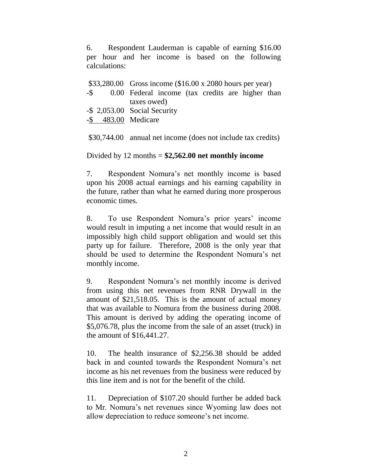6. Respondent Lauderman is capable of earning \$16.00 per hour and her income is based on the following calculations:

|                     | \$33,280.00 Gross income $(\$16.00 \times 2080$ hours per year) |
|---------------------|-----------------------------------------------------------------|
|                     | -\$ 0.00 Federal income (tax credits are higher than            |
|                     | taxes owed)                                                     |
|                     | -\$ 2,053.00 Social Security                                    |
| -\$ 483.00 Medicare |                                                                 |
|                     |                                                                 |
|                     | \$30,744.00 annual net income (does not include tax credits)    |

Divided by 12 months = **\$2,562.00 net monthly income**

7. Respondent Nomura"s net monthly income is based upon his 2008 actual earnings and his earning capability in the future, rather than what he earned during more prosperous economic times.

8. To use Respondent Nomura's prior years' income would result in imputing a net income that would result in an impossibly high child support obligation and would set this party up for failure. Therefore, 2008 is the only year that should be used to determine the Respondent Nomura's net monthly income.

9. Respondent Nomura"s net monthly income is derived from using this net revenues from RNR Drywall in the amount of \$21,518.05. This is the amount of actual money that was available to Nomura from the business during 2008. This amount is derived by adding the operating income of \$5,076.78, plus the income from the sale of an asset (truck) in the amount of \$16,441.27.

10. The health insurance of \$2,256.38 should be added back in and counted towards the Respondent Nomura"s net income as his net revenues from the business were reduced by this line item and is not for the benefit of the child.

11. Depreciation of \$107.20 should further be added back to Mr. Nomura"s net revenues since Wyoming law does not allow depreciation to reduce someone"s net income.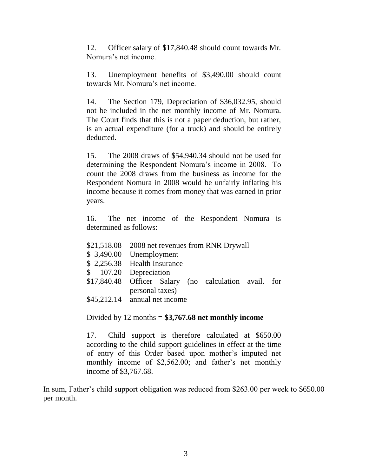12. Officer salary of \$17,840.48 should count towards Mr. Nomura"s net income.

13. Unemployment benefits of \$3,490.00 should count towards Mr. Nomura"s net income.

14. The Section 179, Depreciation of \$36,032.95, should not be included in the net monthly income of Mr. Nomura. The Court finds that this is not a paper deduction, but rather, is an actual expenditure (for a truck) and should be entirely deducted.

15. The 2008 draws of \$54,940.34 should not be used for determining the Respondent Nomura"s income in 2008. To count the 2008 draws from the business as income for the Respondent Nomura in 2008 would be unfairly inflating his income because it comes from money that was earned in prior years.

16. The net income of the Respondent Nomura is determined as follows:

- \$21,518.08 2008 net revenues from RNR Drywall
- \$ 3,490.00 Unemployment
- \$ 2,256.38 Health Insurance
- \$ 107.20 Depreciation
- \$17,840.48 Officer Salary (no calculation avail. for personal taxes)
- \$45,212.14 annual net income

Divided by 12 months = **\$3,767.68 net monthly income**

17. Child support is therefore calculated at \$650.00 according to the child support guidelines in effect at the time of entry of this Order based upon mother"s imputed net monthly income of \$2,562.00; and father's net monthly income of \$3,767.68.

In sum, Father's child support obligation was reduced from \$263.00 per week to \$650.00 per month.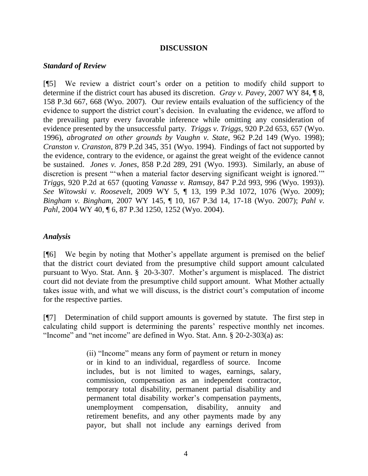#### **DISCUSSION**

#### *Standard of Review*

[¶5] We review a district court"s order on a petition to modify child support to determine if the district court has abused its discretion. *Gray v. Pavey*, 2007 WY 84, ¶ 8, 158 P.3d 667, 668 (Wyo. 2007). Our review entails evaluation of the sufficiency of the evidence to support the district court's decision. In evaluating the evidence, we afford to the prevailing party every favorable inference while omitting any consideration of evidence presented by the unsuccessful party. *Triggs v. Triggs*, 920 P.2d 653, 657 (Wyo. 1996), *abrograted on other grounds by Vaughn v. State*, 962 P.2d 149 (Wyo. 1998); *Cranston v. Cranston*, 879 P.2d 345, 351 (Wyo. 1994). Findings of fact not supported by the evidence, contrary to the evidence, or against the great weight of the evidence cannot be sustained. *Jones v. Jones*, 858 P.2d 289, 291 (Wyo. 1993). Similarly, an abuse of discretion is present ""when a material factor deserving significant weight is ignored."" *Triggs*, 920 P.2d at 657 (quoting *Vanasse v. Ramsay*, 847 P.2d 993, 996 (Wyo. 1993)). *See Witowski v. Roosevelt*, 2009 WY 5, ¶ 13, 199 P.3d 1072, 1076 (Wyo. 2009); *Bingham v. Bingham*, 2007 WY 145, ¶ 10, 167 P.3d 14, 17-18 (Wyo. 2007); *Pahl v. Pahl*, 2004 WY 40, ¶ 6, 87 P.3d 1250, 1252 (Wyo. 2004).

### *Analysis*

[¶6] We begin by noting that Mother"s appellate argument is premised on the belief that the district court deviated from the presumptive child support amount calculated pursuant to Wyo. Stat. Ann. § 20-3-307. Mother"s argument is misplaced. The district court did not deviate from the presumptive child support amount. What Mother actually takes issue with, and what we will discuss, is the district court's computation of income for the respective parties.

[¶7] Determination of child support amounts is governed by statute. The first step in calculating child support is determining the parents' respective monthly net incomes. "Income" and "net income" are defined in Wyo. Stat. Ann. § 20-2-303(a) as:

> (ii) "Income" means any form of payment or return in money or in kind to an individual, regardless of source. Income includes, but is not limited to wages, earnings, salary, commission, compensation as an independent contractor, temporary total disability, permanent partial disability and permanent total disability worker"s compensation payments, unemployment compensation, disability, annuity and retirement benefits, and any other payments made by any payor, but shall not include any earnings derived from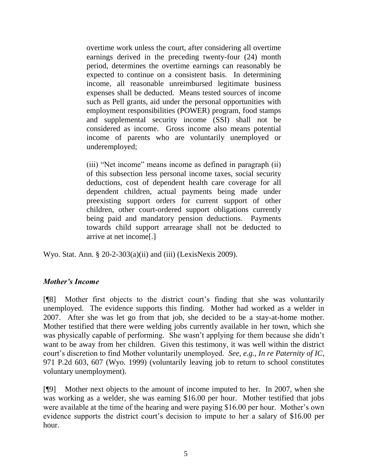overtime work unless the court, after considering all overtime earnings derived in the preceding twenty-four (24) month period, determines the overtime earnings can reasonably be expected to continue on a consistent basis. In determining income, all reasonable unreimbursed legitimate business expenses shall be deducted. Means tested sources of income such as Pell grants, aid under the personal opportunities with employment responsibilities (POWER) program, food stamps and supplemental security income (SSI) shall not be considered as income. Gross income also means potential income of parents who are voluntarily unemployed or underemployed;

(iii) "Net income" means income as defined in paragraph (ii) of this subsection less personal income taxes, social security deductions, cost of dependent health care coverage for all dependent children, actual payments being made under preexisting support orders for current support of other children, other court-ordered support obligations currently being paid and mandatory pension deductions. Payments towards child support arrearage shall not be deducted to arrive at net income[.]

Wyo. Stat. Ann. § 20-2-303(a)(ii) and (iii) (LexisNexis 2009).

## *Mother's Income*

[¶8] Mother first objects to the district court"s finding that she was voluntarily unemployed. The evidence supports this finding. Mother had worked as a welder in 2007. After she was let go from that job, she decided to be a stay-at-home mother. Mother testified that there were welding jobs currently available in her town, which she was physically capable of performing. She wasn't applying for them because she didn't want to be away from her children. Given this testimony, it was well within the district court"s discretion to find Mother voluntarily unemployed. *See, e.g., In re Paternity of IC*, 971 P.2d 603, 607 (Wyo. 1999) (voluntarily leaving job to return to school constitutes voluntary unemployment).

[¶9] Mother next objects to the amount of income imputed to her. In 2007, when she was working as a welder, she was earning \$16.00 per hour. Mother testified that jobs were available at the time of the hearing and were paying \$16.00 per hour. Mother's own evidence supports the district court's decision to impute to her a salary of \$16.00 per hour.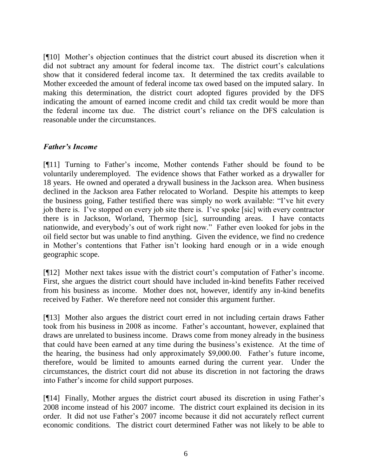[¶10] Mother"s objection continues that the district court abused its discretion when it did not subtract any amount for federal income tax. The district court's calculations show that it considered federal income tax. It determined the tax credits available to Mother exceeded the amount of federal income tax owed based on the imputed salary. In making this determination, the district court adopted figures provided by the DFS indicating the amount of earned income credit and child tax credit would be more than the federal income tax due. The district court's reliance on the DFS calculation is reasonable under the circumstances.

#### *Father's Income*

[¶11] Turning to Father"s income, Mother contends Father should be found to be voluntarily underemployed. The evidence shows that Father worked as a drywaller for 18 years. He owned and operated a drywall business in the Jackson area. When business declined in the Jackson area Father relocated to Worland. Despite his attempts to keep the business going, Father testified there was simply no work available: "I"ve hit every job there is. I"ve stopped on every job site there is. I"ve spoke [sic] with every contractor there is in Jackson, Worland, Thermop [sic], surrounding areas. I have contacts nationwide, and everybody"s out of work right now." Father even looked for jobs in the oil field sector but was unable to find anything. Given the evidence, we find no credence in Mother"s contentions that Father isn"t looking hard enough or in a wide enough geographic scope.

[¶12] Mother next takes issue with the district court"s computation of Father"s income. First, she argues the district court should have included in-kind benefits Father received from his business as income. Mother does not, however, identify any in-kind benefits received by Father. We therefore need not consider this argument further.

[¶13] Mother also argues the district court erred in not including certain draws Father took from his business in 2008 as income. Father"s accountant, however, explained that draws are unrelated to business income. Draws come from money already in the business that could have been earned at any time during the business"s existence. At the time of the hearing, the business had only approximately \$9,000.00. Father"s future income, therefore, would be limited to amounts earned during the current year. Under the circumstances, the district court did not abuse its discretion in not factoring the draws into Father"s income for child support purposes.

[¶14] Finally, Mother argues the district court abused its discretion in using Father"s 2008 income instead of his 2007 income. The district court explained its decision in its order. It did not use Father"s 2007 income because it did not accurately reflect current economic conditions. The district court determined Father was not likely to be able to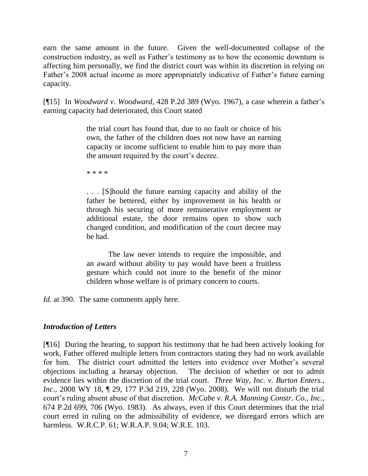earn the same amount in the future. Given the well-documented collapse of the construction industry, as well as Father"s testimony as to how the economic downturn is affecting him personally, we find the district court was within its discretion in relying on Father's 2008 actual income as more appropriately indicative of Father's future earning capacity.

[¶15] In *Woodward v. Woodward*, 428 P.2d 389 (Wyo. 1967), a case wherein a father"s earning capacity had deteriorated, this Court stated

> the trial court has found that, due to no fault or choice of his own, the father of the children does not now have an earning capacity or income sufficient to enable him to pay more than the amount required by the court's decree.

\* \* \* \*

. . . [S]hould the future earning capacity and ability of the father be bettered, either by improvement in his health or through his securing of more remunerative employment or additional estate, the door remains open to show such changed condition, and modification of the court decree may be had.

The law never intends to require the impossible, and an award without ability to pay would have been a fruitless gesture which could not inure to the benefit of the minor children whose welfare is of primary concern to courts.

*Id.* at 390. The same comments apply here.

## *Introduction of Letters*

[¶16] During the hearing, to support his testimony that he had been actively looking for work, Father offered multiple letters from contractors stating they had no work available for him. The district court admitted the letters into evidence over Mother's several objections including a hearsay objection. The decision of whether or not to admit evidence lies within the discretion of the trial court. *Three Way, Inc. v. Burton Enters., Inc*., 2008 WY 18, ¶ 29, 177 P.3d 219, 228 (Wyo. 2008). We will not disturb the trial court's ruling absent abuse of that discretion. *McCabe v. R.A. Manning Constr. Co., Inc.*, 674 P.2d 699, 706 (Wyo. 1983). As always, even if this Court determines that the trial court erred in ruling on the admissibility of evidence, we disregard errors which are harmless. W.R.C.P. 61; W.R.A.P. 9.04; W.R.E. 103.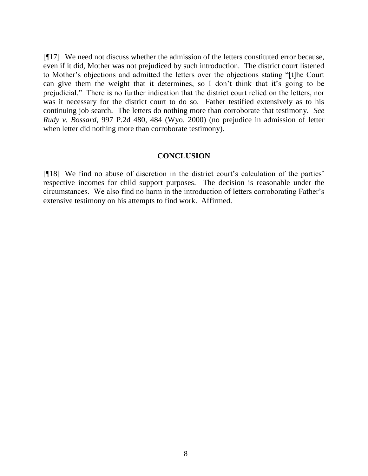[¶17] We need not discuss whether the admission of the letters constituted error because, even if it did, Mother was not prejudiced by such introduction. The district court listened to Mother"s objections and admitted the letters over the objections stating "[t]he Court can give them the weight that it determines, so I don"t think that it"s going to be prejudicial." There is no further indication that the district court relied on the letters, nor was it necessary for the district court to do so. Father testified extensively as to his continuing job search. The letters do nothing more than corroborate that testimony. *See Rudy v. Bossard*, 997 P.2d 480, 484 (Wyo. 2000) (no prejudice in admission of letter when letter did nothing more than corroborate testimony).

#### **CONCLUSION**

[¶18] We find no abuse of discretion in the district court's calculation of the parties' respective incomes for child support purposes. The decision is reasonable under the circumstances. We also find no harm in the introduction of letters corroborating Father"s extensive testimony on his attempts to find work. Affirmed.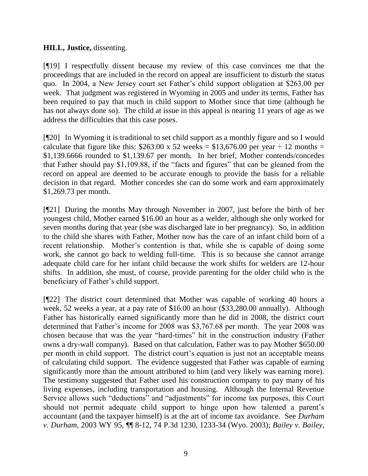### **HILL, Justice,** dissenting.

[¶19] I respectfully dissent because my review of this case convinces me that the proceedings that are included in the record on appeal are insufficient to disturb the status quo. In 2004, a New Jersey court set Father"s child support obligation at \$263.00 per week. That judgment was registered in Wyoming in 2005 and under its terms, Father has been required to pay that much in child support to Mother since that time (although he has not always done so). The child at issue in this appeal is nearing 11 years of age as we address the difficulties that this case poses.

[¶20] In Wyoming it is traditional to set child support as a monthly figure and so I would calculate that figure like this:  $$263.00 \times 52$  weeks = \$13,676.00 per year  $\div$  12 months = \$1,139.6666 rounded to \$1,139.67 per month. In her brief, Mother contends/concedes that Father should pay \$1,109.88, if the "facts and figures" that can be gleaned from the record on appeal are deemed to be accurate enough to provide the basis for a reliable decision in that regard. Mother concedes she can do some work and earn approximately \$1,269.73 per month.

[¶21] During the months May through November in 2007, just before the birth of her youngest child, Mother earned \$16.00 an hour as a welder, although she only worked for seven months during that year (she was discharged late in her pregnancy). So, in addition to the child she shares with Father, Mother now has the care of an infant child born of a recent relationship. Mother's contention is that, while she is capable of doing some work, she cannot go back to welding full-time. This is so because she cannot arrange adequate child care for her infant child because the work shifts for welders are 12-hour shifts. In addition, she must, of course, provide parenting for the older child who is the beneficiary of Father"s child support.

[¶22] The district court determined that Mother was capable of working 40 hours a week, 52 weeks a year, at a pay rate of \$16.00 an hour (\$33,280.00 annually). Although Father has historically earned significantly more than he did in 2008, the district court determined that Father"s income for 2008 was \$3,767.68 per month. The year 2008 was chosen because that was the year "hard-times" hit in the construction industry (Father owns a dry-wall company). Based on that calculation, Father was to pay Mother \$650.00 per month in child support. The district court's equation is just not an acceptable means of calculating child support. The evidence suggested that Father was capable of earning significantly more than the amount attributed to him (and very likely was earning more). The testimony suggested that Father used his construction company to pay many of his living expenses, including transportation and housing. Although the Internal Revenue Service allows such "deductions" and "adjustments" for income tax purposes, this Court should not permit adequate child support to hinge upon how talented a parent"s accountant (and the taxpayer himself) is at the art of income tax avoidance. See *Durham v. Durham*, 2003 WY 95, ¶¶ 8-12, 74 P.3d 1230, 1233-34 (Wyo. 2003); *Bailey v. Bailey*,